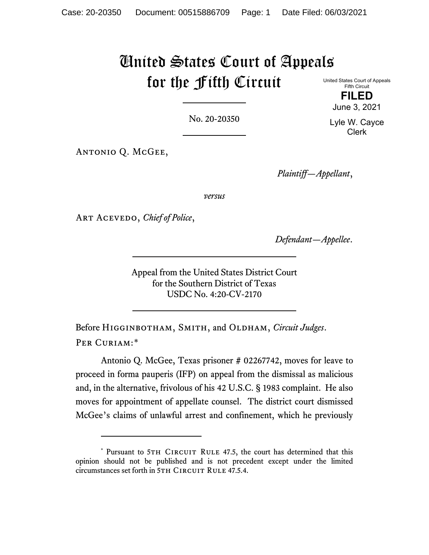## United States Court of Appeals for the Fifth Circuit

United States Court of Appeals Fifth Circuit

**FILED** June 3, 2021

No. 20-20350

Antonio Q. McGee,

*Plaintiff—Appellant*,

*versus*

Art Acevedo, *Chief of Police*,

*Defendant—Appellee*.

Appeal from the United States District Court for the Southern District of Texas USDC No. 4:20-CV-2170

Before Higginbotham, Smith, and Oldham, *Circuit Judges*. PER CURIAM:[\\*](#page-0-0)

Antonio Q. McGee, Texas prisoner # 02267742, moves for leave to proceed in forma pauperis (IFP) on appeal from the dismissal as malicious and, in the alternative, frivolous of his 42 U.S.C. § 1983 complaint. He also moves for appointment of appellate counsel. The district court dismissed McGee's claims of unlawful arrest and confinement, which he previously

Lyle W. Cayce Clerk

<span id="page-0-0"></span><sup>\*</sup> Pursuant to 5TH CIRCUIT RULE 47.5, the court has determined that this opinion should not be published and is not precedent except under the limited circumstances set forth in 5TH CIRCUIT RULE 47.5.4.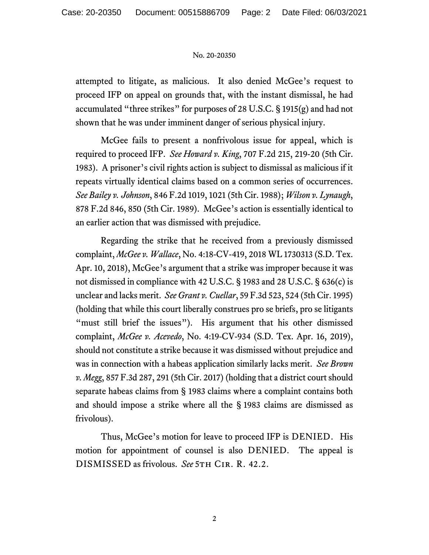## No. 20-20350

attempted to litigate, as malicious. It also denied McGee's request to proceed IFP on appeal on grounds that, with the instant dismissal, he had accumulated "three strikes" for purposes of 28 U.S.C. § 1915(g) and had not shown that he was under imminent danger of serious physical injury.

McGee fails to present a nonfrivolous issue for appeal, which is required to proceed IFP. *See Howard v. King*, 707 F.2d 215, 219-20 (5th Cir. 1983). A prisoner's civil rights action is subject to dismissal as malicious if it repeats virtually identical claims based on a common series of occurrences. *See Bailey v. Johnson*, 846 F.2d 1019, 1021 (5th Cir. 1988); *Wilson v. Lynaugh*, 878 F.2d 846, 850 (5th Cir. 1989). McGee's action is essentially identical to an earlier action that was dismissed with prejudice.

Regarding the strike that he received from a previously dismissed complaint, *McGee v. Wallace*, No. 4:18-CV-419, 2018 WL 1730313 (S.D. Tex. Apr. 10, 2018), McGee's argument that a strike was improper because it was not dismissed in compliance with 42 U.S.C. § 1983 and 28 U.S.C. § 636(c) is unclear and lacks merit. *See Grant v. Cuellar*, 59 F.3d 523, 524 (5th Cir. 1995) (holding that while this court liberally construes pro se briefs, pro se litigants "must still brief the issues"). His argument that his other dismissed complaint, *McGee v. Acevedo*, No. 4:19-CV-934 (S.D. Tex. Apr. 16, 2019), should not constitute a strike because it was dismissed without prejudice and was in connection with a habeas application similarly lacks merit. *See Brown v. Megg*, 857 F.3d 287, 291 (5th Cir. 2017) (holding that a district court should separate habeas claims from § 1983 claims where a complaint contains both and should impose a strike where all the § 1983 claims are dismissed as frivolous).

Thus, McGee's motion for leave to proceed IFP is DENIED. His motion for appointment of counsel is also DENIED. The appeal is DISMISSED as frivolous. *See* 5th Cir. R. 42.2.